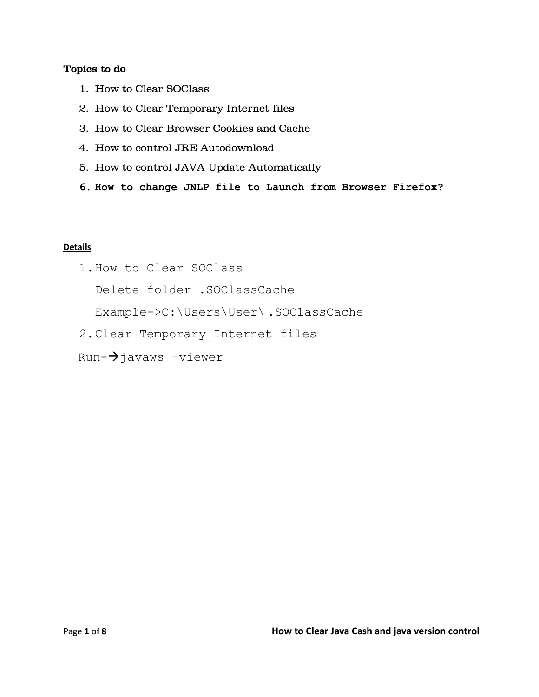#### **Topics to do**

- 1. How to Clear SOClass
- 2. How to Clear Temporary Internet files
- 3. How to Clear Browser Cookies and Cache
- 4. How to control JRE Autodownload
- 5. How to control JAVA Update Automatically
- **6. How to change JNLP file to Launch from Browser Firefox?**

### **Details**

1.How to Clear SOClass

Delete folder .SOClassCache

Example->C:\Users\User\ .SOClassCache

- 2.Clear Temporary Internet files
- $Run-\rightarrow$ javaws -viewer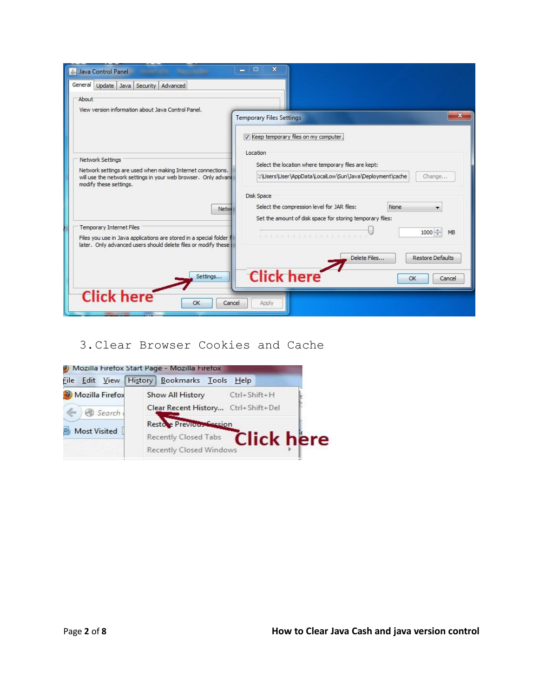| Java Control Panel                                                                                                                                                          | $\mathbf x$<br>▭<br>$\equiv$                                                                                                   |  |  |  |  |
|-----------------------------------------------------------------------------------------------------------------------------------------------------------------------------|--------------------------------------------------------------------------------------------------------------------------------|--|--|--|--|
| General Update Java Security Advanced                                                                                                                                       |                                                                                                                                |  |  |  |  |
| About<br>View version information about Java Control Panel.                                                                                                                 | $\mathbf x$<br><b>Temporary Files Settings</b>                                                                                 |  |  |  |  |
|                                                                                                                                                                             | Keep temporary files on my computer.<br>Location                                                                               |  |  |  |  |
| Network Settings<br>Network settings are used when making Internet connections.<br>will use the network settings in your web browser. Only advand<br>modify these settings. | Select the location where temporary files are kept:<br>::\Users\User\AppData\LocalLow\Sun\Java\Deployment\cache<br>Change      |  |  |  |  |
| Netw                                                                                                                                                                        | Disk Space<br>Select the compression level for JAR files:<br>None<br>Set the amount of disk space for storing temporary files: |  |  |  |  |
| <b>Temporary Internet Files</b><br>Files you use in Java applications are stored in a special folder f<br>later. Only advanced users should delete files or modify these    | 1000 €<br>MB<br>FOR DOUGH ROLL DOESN'T ROLL FOR THEIR FR                                                                       |  |  |  |  |
| Settings                                                                                                                                                                    | Delete Files<br><b>Restore Defaults</b><br><b>Click here</b><br>OK<br>Cancel                                                   |  |  |  |  |
| <b>Click here</b><br>OK<br>Cancel                                                                                                                                           | Apply                                                                                                                          |  |  |  |  |

# 3.Clear Browser Cookies and Cache

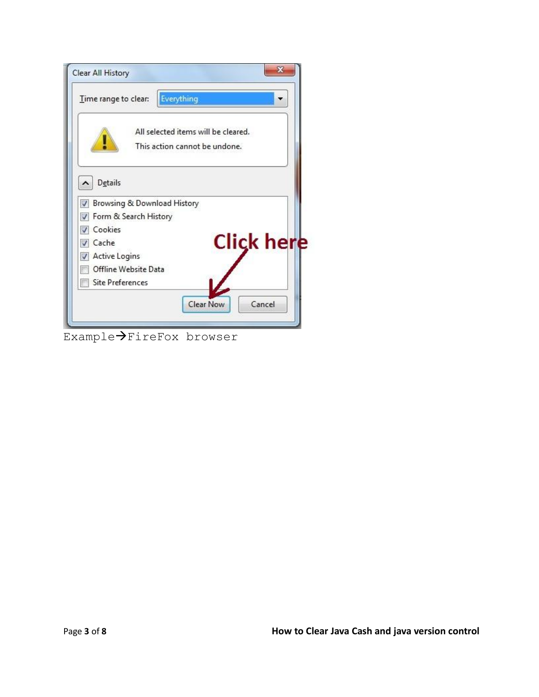| Time range to clear:        | Everything                          |
|-----------------------------|-------------------------------------|
|                             | All selected items will be cleared. |
|                             | This action cannot be undone.       |
|                             |                                     |
| <b>Details</b><br>^         |                                     |
| Browsing & Download History |                                     |
| Form & Search History       |                                     |
| Cookies                     |                                     |
| Cache                       | <b>Click here</b>                   |
| <b>Active Logins</b>        |                                     |
| Offline Website Data        |                                     |
|                             |                                     |

Example>FireFox browser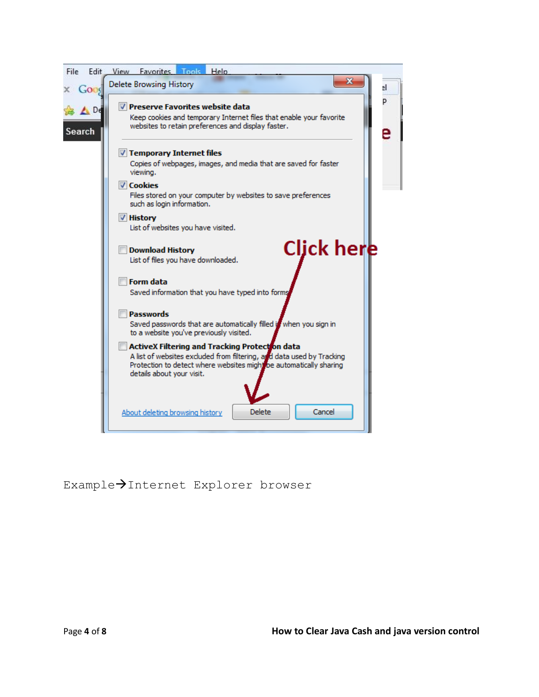

# Example>Internet Explorer browser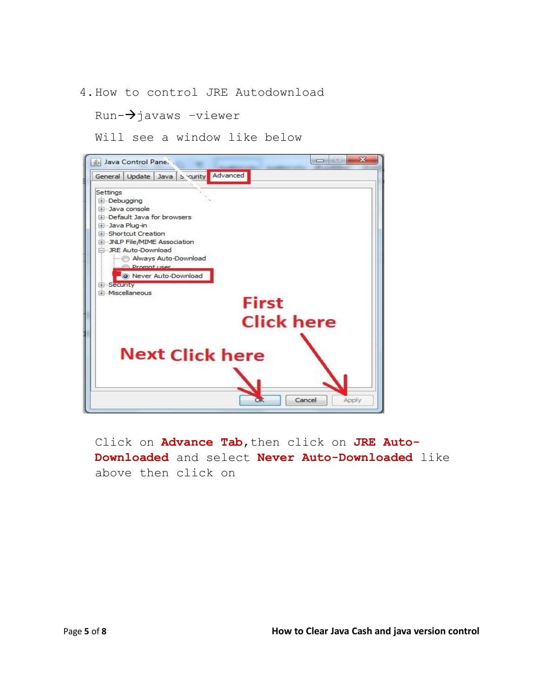4.How to control JRE Autodownload

 $Run-\rightarrow$ javaws -viewer

Will see a window like below



Click on **Advance Tab**, then click on JRE Auto-**Downloaded** and select **Never Auto-Downloaded** like above then click on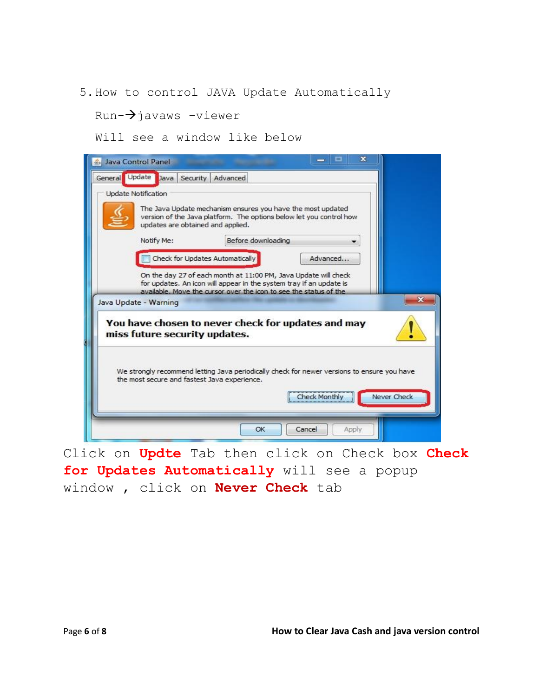### 5.How to control JAVA Update Automatically

## $Run-\rightarrow$ javaws -viewer

Will see a window like below



Click on **Updte** Tab then click on Check box **Check for Updates Automatically** will see a popup window , click on **Never Check** tab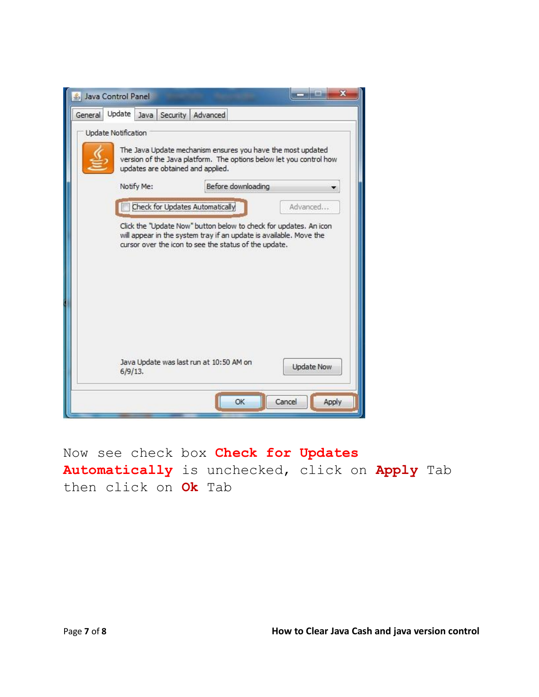

Now see check box **Check for Updates Automatically** is unchecked, click on **Apply** Tab then click on **Ok** Tab